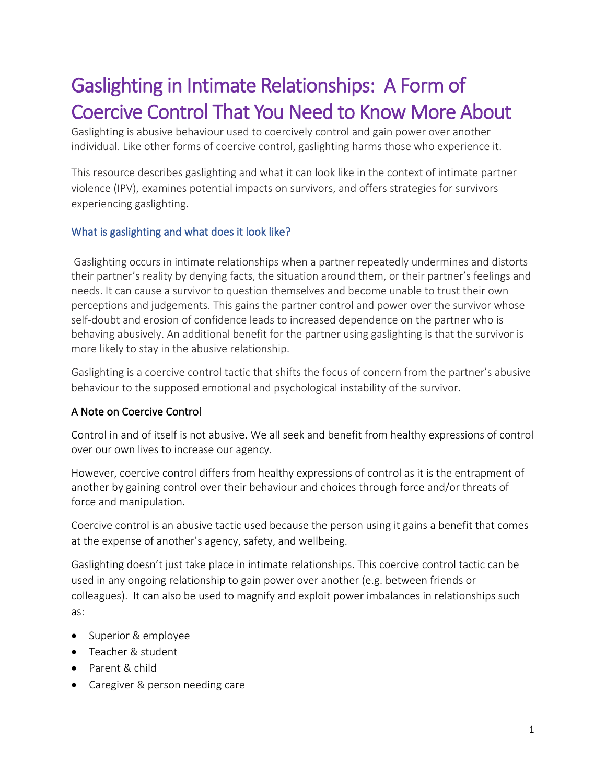# Gaslighting in Intimate Relationships: A Form of Coercive Control That You Need to Know More About

Gaslighting is abusive behaviour used to coercively control and gain power over another individual. Like other forms of coercive control, gaslighting harms those who experience it.

This resource describes gaslighting and what it can look like in the context of intimate partner violence (IPV), examines potential impacts on survivors, and offers strategies for survivors experiencing gaslighting.

### What is gaslighting and what does it look like?

Gaslighting occurs in intimate relationships when a partner repeatedly undermines and distorts their partner's reality by denying facts, the situation around them, or their partner's feelings and needs. It can cause a survivor to question themselves and become unable to trust their own perceptions and judgements. This gains the partner control and power over the survivor whose self-doubt and erosion of confidence leads to increased dependence on the partner who is behaving abusively. An additional benefit for the partner using gaslighting is that the survivor is more likely to stay in the abusive relationship.

Gaslighting is a coercive control tactic that shifts the focus of concern from the partner's abusive behaviour to the supposed emotional and psychological instability of the survivor.

#### A Note on Coercive Control

Control in and of itself is not abusive. We all seek and benefit from healthy expressions of control over our own lives to increase our agency.

However, coercive control differs from healthy expressions of control as it is the entrapment of another by gaining control over their behaviour and choices through force and/or threats of force and manipulation.

Coercive control is an abusive tactic used because the person using it gains a benefit that comes at the expense of another's agency, safety, and wellbeing.

Gaslighting doesn't just take place in intimate relationships. This coercive control tactic can be used in any ongoing relationship to gain power over another (e.g. between friends or colleagues). It can also be used to magnify and exploit power imbalances in relationships such as:

- Superior & employee
- Teacher & student
- Parent & child
- Caregiver & person needing care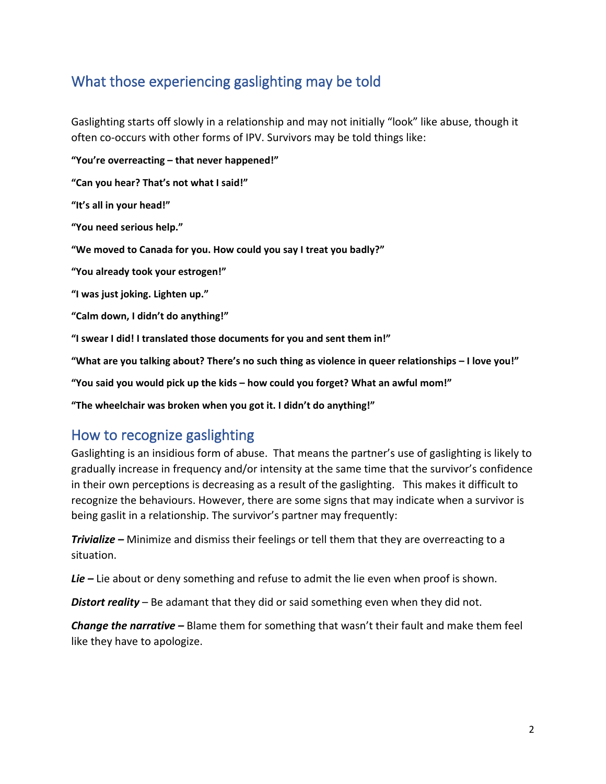# What those experiencing gaslighting may be told

Gaslighting starts off slowly in a relationship and may not initially "look" like abuse, though it often co-occurs with other forms of IPV. Survivors may be told things like:

**"You're overreacting – that never happened!"**

**"Can you hear? That's not what I said!"**

**"It's all in your head!"**

**"You need serious help."**

**"We moved to Canada for you. How could you say I treat you badly?"**

**"You already took your estrogen!"**

**"I was just joking. Lighten up."**

**"Calm down, I didn't do anything!"**

**"I swear I did! I translated those documents for you and sent them in!"**

**"What are you talking about? There's no such thing as violence in queer relationships – I love you!"**

**"You said you would pick up the kids – how could you forget? What an awful mom!"**

**"The wheelchair was broken when you got it. I didn't do anything!"**

### How to recognize gaslighting

Gaslighting is an insidious form of abuse. That means the partner's use of gaslighting is likely to gradually increase in frequency and/or intensity at the same time that the survivor's confidence in their own perceptions is decreasing as a result of the gaslighting. This makes it difficult to recognize the behaviours. However, there are some signs that may indicate when a survivor is being gaslit in a relationship. The survivor's partner may frequently:

*Trivialize –* Minimize and dismiss their feelings or tell them that they are overreacting to a situation.

*Lie –* Lie about or deny something and refuse to admit the lie even when proof is shown.

*Distort reality* – Be adamant that they did or said something even when they did not.

*Change the narrative* – Blame them for something that wasn't their fault and make them feel like they have to apologize.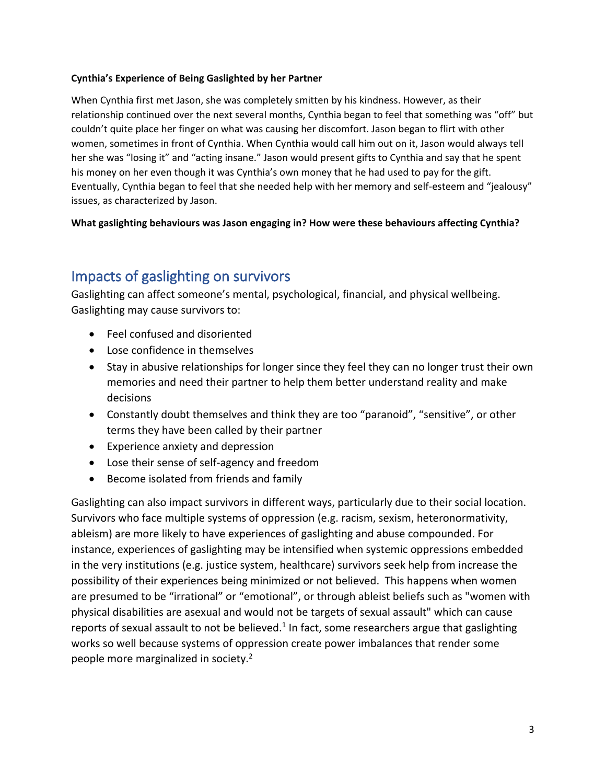#### **Cynthia's Experience of Being Gaslighted by her Partner**

When Cynthia first met Jason, she was completely smitten by his kindness. However, as their relationship continued over the next several months, Cynthia began to feel that something was "off" but couldn't quite place her finger on what was causing her discomfort. Jason began to flirt with other women, sometimes in front of Cynthia. When Cynthia would call him out on it, Jason would always tell her she was "losing it" and "acting insane." Jason would present gifts to Cynthia and say that he spent his money on her even though it was Cynthia's own money that he had used to pay for the gift. Eventually, Cynthia began to feel that she needed help with her memory and self-esteem and "jealousy" issues, as characterized by Jason.

**What gaslighting behaviours was Jason engaging in? How were these behaviours affecting Cynthia?** 

## Impacts of gaslighting on survivors

Gaslighting can affect someone's mental, psychological, financial, and physical wellbeing. Gaslighting may cause survivors to:

- Feel confused and disoriented
- Lose confidence in themselves
- Stay in abusive relationships for longer since they feel they can no longer trust their own memories and need their partner to help them better understand reality and make decisions
- Constantly doubt themselves and think they are too "paranoid", "sensitive", or other terms they have been called by their partner
- Experience anxiety and depression
- Lose their sense of self-agency and freedom
- Become isolated from friends and family

Gaslighting can also impact survivors in different ways, particularly due to their social location. Survivors who face multiple systems of oppression (e.g. racism, sexism, heteronormativity, ableism) are more likely to have experiences of gaslighting and abuse compounded. For instance, experiences of gaslighting may be intensified when systemic oppressions embedded in the very institutions (e.g. justice system, healthcare) survivors seek help from increase the possibility of their experiences being minimized or not believed. This happens when women are presumed to be "irrational" or "emotional", or through ableist beliefs such as "women with physical disabilities are asexual and would not be targets of sexual assault" which can cause reports of sexual assault to not be believed. $1$  In fact, some researchers argue that gaslighting works so well because systems of oppression create power imbalances that render some people more marginalized in society. 2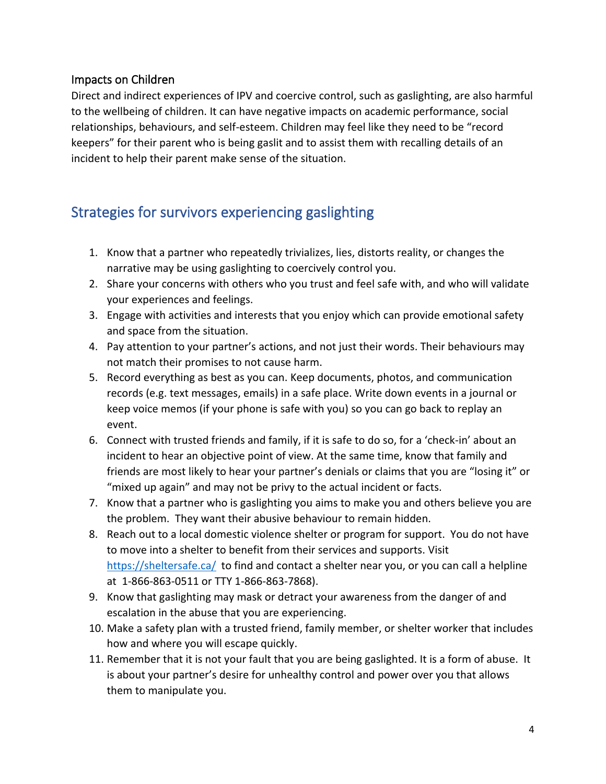### Impacts on Children

Direct and indirect experiences of IPV and coercive control, such as gaslighting, are also harmful to the wellbeing of children. It can have negative impacts on academic performance, social relationships, behaviours, and self-esteem. Children may feel like they need to be "record keepers" for their parent who is being gaslit and to assist them with recalling details of an incident to help their parent make sense of the situation.

# Strategies for survivors experiencing gaslighting

- 1. Know that a partner who repeatedly trivializes, lies, distorts reality, or changes the narrative may be using gaslighting to coercively control you.
- 2. Share your concerns with others who you trust and feel safe with, and who will validate your experiences and feelings.
- 3. Engage with activities and interests that you enjoy which can provide emotional safety and space from the situation.
- 4. Pay attention to your partner's actions, and not just their words. Their behaviours may not match their promises to not cause harm.
- 5. Record everything as best as you can. Keep documents, photos, and communication records (e.g. text messages, emails) in a safe place. Write down events in a journal or keep voice memos (if your phone is safe with you) so you can go back to replay an event.
- 6. Connect with trusted friends and family, if it is safe to do so, for a 'check-in' about an incident to hear an objective point of view. At the same time, know that family and friends are most likely to hear your partner's denials or claims that you are "losing it" or "mixed up again" and may not be privy to the actual incident or facts.
- 7. Know that a partner who is gaslighting you aims to make you and others believe you are the problem. They want their abusive behaviour to remain hidden.
- 8. Reach out to a local domestic violence shelter or program for support. You do not have to move into a shelter to benefit from their services and supports. Visit <https://sheltersafe.ca/> to find and contact a shelter near you, or you can call a helpline at 1-866-863-0511 or TTY 1-866-863-7868).
- 9. Know that gaslighting may mask or detract your awareness from the danger of and escalation in the abuse that you are experiencing.
- 10. Make a safety plan with a trusted friend, family member, or shelter worker that includes how and where you will escape quickly.
- 11. Remember that it is not your fault that you are being gaslighted. It is a form of abuse. It is about your partner's desire for unhealthy control and power over you that allows them to manipulate you.